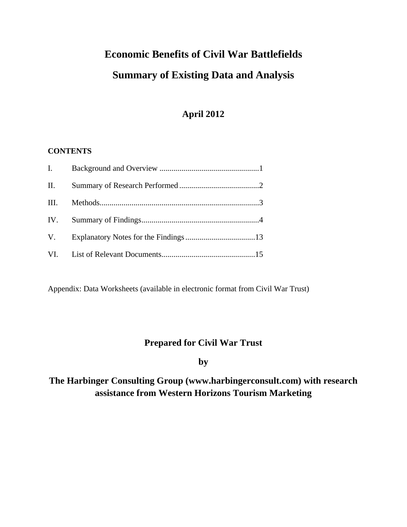# **Economic Benefits of Civil War Battlefields Summary of Existing Data and Analysis**

# **April 2012**

#### **CONTENTS**

| I.   |  |
|------|--|
| II.  |  |
| III. |  |
|      |  |
| V.   |  |
|      |  |

Appendix: Data Worksheets (available in electronic format from Civil War Trust)

## **Prepared for Civil War Trust**

**by** 

# **The Harbinger Consulting Group (www.harbingerconsult.com) with research assistance from Western Horizons Tourism Marketing**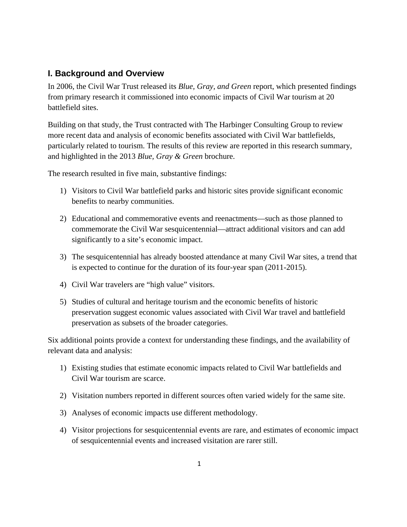#### **I. Background and Overview**

In 2006, the Civil War Trust released its *Blue, Gray, and Green* report, which presented findings from primary research it commissioned into economic impacts of Civil War tourism at 20 battlefield sites.

Building on that study, the Trust contracted with The Harbinger Consulting Group to review more recent data and analysis of economic benefits associated with Civil War battlefields, particularly related to tourism. The results of this review are reported in this research summary, and highlighted in the 2013 *Blue, Gray & Green* brochure.

The research resulted in five main, substantive findings:

- 1) Visitors to Civil War battlefield parks and historic sites provide significant economic benefits to nearby communities.
- 2) Educational and commemorative events and reenactments—such as those planned to commemorate the Civil War sesquicentennial—attract additional visitors and can add significantly to a site's economic impact.
- 3) The sesquicentennial has already boosted attendance at many Civil War sites, a trend that is expected to continue for the duration of its four-year span (2011-2015).
- 4) Civil War travelers are "high value" visitors.
- 5) Studies of cultural and heritage tourism and the economic benefits of historic preservation suggest economic values associated with Civil War travel and battlefield preservation as subsets of the broader categories.

Six additional points provide a context for understanding these findings, and the availability of relevant data and analysis:

- 1) Existing studies that estimate economic impacts related to Civil War battlefields and Civil War tourism are scarce.
- 2) Visitation numbers reported in different sources often varied widely for the same site.
- 3) Analyses of economic impacts use different methodology.
- 4) Visitor projections for sesquicentennial events are rare, and estimates of economic impact of sesquicentennial events and increased visitation are rarer still.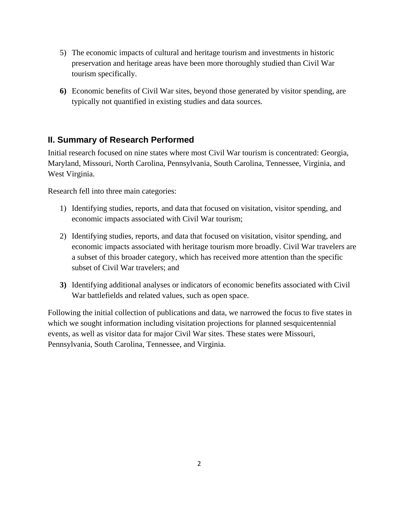- 5) The economic impacts of cultural and heritage tourism and investments in historic preservation and heritage areas have been more thoroughly studied than Civil War tourism specifically.
- **6)** Economic benefits of Civil War sites, beyond those generated by visitor spending, are typically not quantified in existing studies and data sources.

## **II. Summary of Research Performed**

Initial research focused on nine states where most Civil War tourism is concentrated: Georgia, Maryland, Missouri, North Carolina, Pennsylvania, South Carolina, Tennessee, Virginia, and West Virginia.

Research fell into three main categories:

- 1) Identifying studies, reports, and data that focused on visitation, visitor spending, and economic impacts associated with Civil War tourism;
- 2) Identifying studies, reports, and data that focused on visitation, visitor spending, and economic impacts associated with heritage tourism more broadly. Civil War travelers are a subset of this broader category, which has received more attention than the specific subset of Civil War travelers; and
- **3)** Identifying additional analyses or indicators of economic benefits associated with Civil War battlefields and related values, such as open space.

Following the initial collection of publications and data, we narrowed the focus to five states in which we sought information including visitation projections for planned sesquicentennial events, as well as visitor data for major Civil War sites. These states were Missouri, Pennsylvania, South Carolina, Tennessee, and Virginia.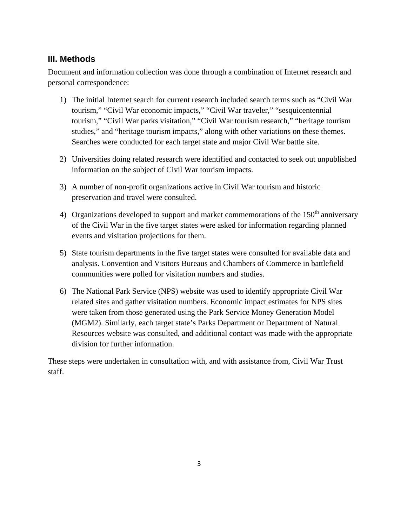#### **III. Methods**

Document and information collection was done through a combination of Internet research and personal correspondence:

- 1) The initial Internet search for current research included search terms such as "Civil War tourism," "Civil War economic impacts," "Civil War traveler," "sesquicentennial tourism," "Civil War parks visitation," "Civil War tourism research," "heritage tourism studies," and "heritage tourism impacts," along with other variations on these themes. Searches were conducted for each target state and major Civil War battle site.
- 2) Universities doing related research were identified and contacted to seek out unpublished information on the subject of Civil War tourism impacts.
- 3) A number of non-profit organizations active in Civil War tourism and historic preservation and travel were consulted.
- 4) Organizations developed to support and market commemorations of the  $150<sup>th</sup>$  anniversary of the Civil War in the five target states were asked for information regarding planned events and visitation projections for them.
- 5) State tourism departments in the five target states were consulted for available data and analysis. Convention and Visitors Bureaus and Chambers of Commerce in battlefield communities were polled for visitation numbers and studies.
- 6) The National Park Service (NPS) website was used to identify appropriate Civil War related sites and gather visitation numbers. Economic impact estimates for NPS sites were taken from those generated using the Park Service Money Generation Model (MGM2). Similarly, each target state's Parks Department or Department of Natural Resources website was consulted, and additional contact was made with the appropriate division for further information.

These steps were undertaken in consultation with, and with assistance from, Civil War Trust staff.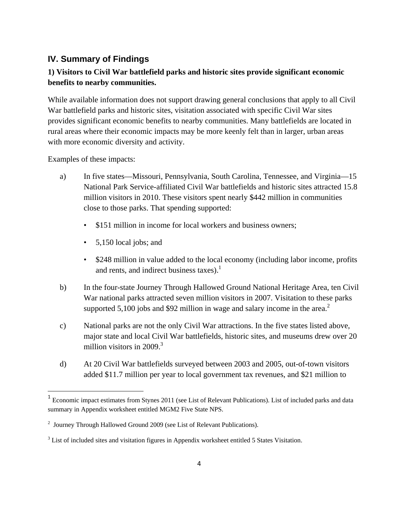#### **IV. Summary of Findings**

#### **1) Visitors to Civil War battlefield parks and historic sites provide significant economic benefits to nearby communities.**

While available information does not support drawing general conclusions that apply to all Civil War battlefield parks and historic sites, visitation associated with specific Civil War sites provides significant economic benefits to nearby communities. Many battlefields are located in rural areas where their economic impacts may be more keenly felt than in larger, urban areas with more economic diversity and activity.

Examples of these impacts:

- a) In five states—Missouri, Pennsylvania, South Carolina, Tennessee, and Virginia—15 National Park Service-affiliated Civil War battlefields and historic sites attracted 15.8 million visitors in 2010. These visitors spent nearly \$442 million in communities close to those parks. That spending supported:
	- \$151 million in income for local workers and business owners;
	- 5,150 local jobs; and
	- \$248 million in value added to the local economy (including labor income, profits and rents, and indirect business taxes). $<sup>1</sup>$ </sup>
- b) In the four-state Journey Through Hallowed Ground National Heritage Area, ten Civil War national parks attracted seven million visitors in 2007. Visitation to these parks supported 5,100 jobs and \$92 million in wage and salary income in the area.<sup>2</sup>
- c) National parks are not the only Civil War attractions. In the five states listed above, major state and local Civil War battlefields, historic sites, and museums drew over 20 million visitors in 2009. $3$
- d) At 20 Civil War battlefields surveyed between 2003 and 2005, out-of-town visitors added \$11.7 million per year to local government tax revenues, and \$21 million to

<sup>&</sup>lt;sup>1</sup> Economic impact estimates from Stynes 2011 (see List of Relevant Publications). List of included parks and data summary in Appendix worksheet entitled MGM2 Five State NPS.

 $2$  Journey Through Hallowed Ground 2009 (see List of Relevant Publications).

 $3$  List of included sites and visitation figures in Appendix worksheet entitled 5 States Visitation.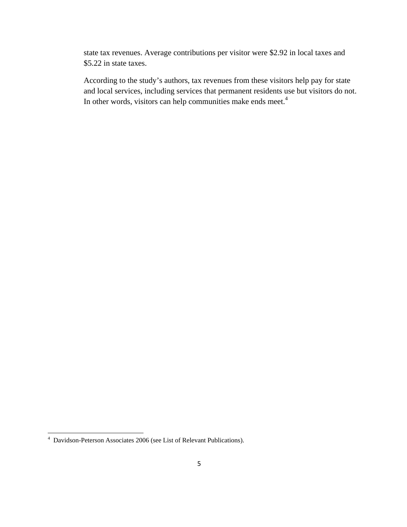state tax revenues. Average contributions per visitor were \$2.92 in local taxes and \$5.22 in state taxes.

According to the study's authors, tax revenues from these visitors help pay for state and local services, including services that permanent residents use but visitors do not. In other words, visitors can help communities make ends meet.<sup>4</sup>

 4 Davidson-Peterson Associates 2006 (see List of Relevant Publications).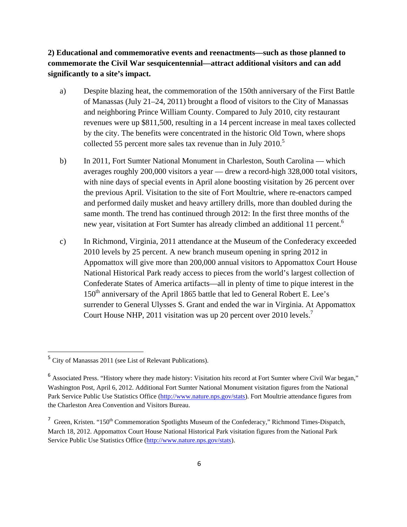#### **2) Educational and commemorative events and reenactments—such as those planned to commemorate the Civil War sesquicentennial—attract additional visitors and can add significantly to a site's impact.**

- a) Despite blazing heat, the commemoration of the 150th anniversary of the First Battle of Manassas (July 21–24, 2011) brought a flood of visitors to the City of Manassas and neighboring Prince William County. Compared to July 2010, city restaurant revenues were up \$811,500, resulting in a 14 percent increase in meal taxes collected by the city. The benefits were concentrated in the historic Old Town, where shops collected 55 percent more sales tax revenue than in July 2010.<sup>5</sup>
- b) In 2011, Fort Sumter National Monument in Charleston, South Carolina which averages roughly 200,000 visitors a year — drew a record-high 328,000 total visitors, with nine days of special events in April alone boosting visitation by 26 percent over the previous April. Visitation to the site of Fort Moultrie, where re-enactors camped and performed daily musket and heavy artillery drills, more than doubled during the same month. The trend has continued through 2012: In the first three months of the new year, visitation at Fort Sumter has already climbed an additional 11 percent.<sup>6</sup>
- c) In Richmond, Virginia, 2011 attendance at the Museum of the Confederacy exceeded 2010 levels by 25 percent. A new branch museum opening in spring 2012 in Appomattox will give more than 200,000 annual visitors to Appomattox Court House National Historical Park ready access to pieces from the world's largest collection of Confederate States of America artifacts—all in plenty of time to pique interest in the 150<sup>th</sup> anniversary of the April 1865 battle that led to General Robert E. Lee's surrender to General Ulysses S. Grant and ended the war in Virginia. At Appomattox Court House NHP, 2011 visitation was up 20 percent over 2010 levels.<sup>7</sup>

<sup>5</sup> City of Manassas 2011 (see List of Relevant Publications).

<sup>&</sup>lt;sup>6</sup> Associated Press. "History where they made history: Visitation hits record at Fort Sumter where Civil War began," Washington Post, April 6, 2012. Additional Fort Sumter National Monument visitation figures from the National Park Service Public Use Statistics Office (http://www.nature.nps.gov/stats). Fort Moultrie attendance figures from the Charleston Area Convention and Visitors Bureau.

<sup>&</sup>lt;sup>7</sup> Green, Kristen. "150<sup>th</sup> Commemoration Spotlights Museum of the Confederacy," Richmond Times-Dispatch, March 18, 2012. Appomattox Court House National Historical Park visitation figures from the National Park Service Public Use Statistics Office (http://www.nature.nps.gov/stats).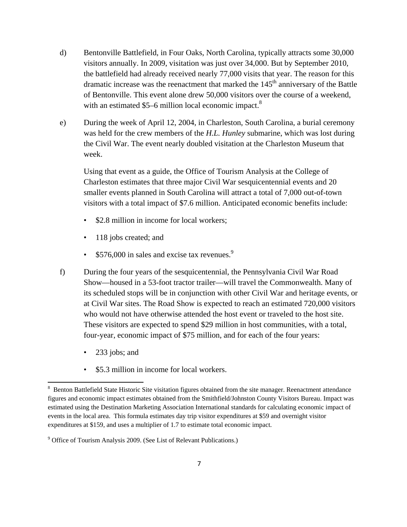- d) Bentonville Battlefield, in Four Oaks, North Carolina, typically attracts some 30,000 visitors annually. In 2009, visitation was just over 34,000. But by September 2010, the battlefield had already received nearly 77,000 visits that year. The reason for this dramatic increase was the reenactment that marked the  $145<sup>th</sup>$  anniversary of the Battle of Bentonville. This event alone drew 50,000 visitors over the course of a weekend, with an estimated \$5–6 million local economic impact.<sup>8</sup>
- e) During the week of April 12, 2004, in Charleston, South Carolina, a burial ceremony was held for the crew members of the *H.L. Hunley* submarine, which was lost during the Civil War. The event nearly doubled visitation at the Charleston Museum that week.

Using that event as a guide, the Office of Tourism Analysis at the College of Charleston estimates that three major Civil War sesquicentennial events and 20 smaller events planned in South Carolina will attract a total of 7,000 out-of-town visitors with a total impact of \$7.6 million. Anticipated economic benefits include:

- \$2.8 million in income for local workers;
- 118 jobs created; and
- \$576,000 in sales and excise tax revenues.<sup>9</sup>
- f) During the four years of the sesquicentennial, the Pennsylvania Civil War Road Show—housed in a 53-foot tractor trailer—will travel the Commonwealth. Many of its scheduled stops will be in conjunction with other Civil War and heritage events, or at Civil War sites. The Road Show is expected to reach an estimated 720,000 visitors who would not have otherwise attended the host event or traveled to the host site. These visitors are expected to spend \$29 million in host communities, with a total, four-year, economic impact of \$75 million, and for each of the four years:
	- 233 jobs; and

• \$5.3 million in income for local workers.

<sup>&</sup>lt;sup>8</sup> Benton Battlefield State Historic Site visitation figures obtained from the site manager. Reenactment attendance figures and economic impact estimates obtained from the Smithfield/Johnston County Visitors Bureau. Impact was estimated using the Destination Marketing Association International standards for calculating economic impact of events in the local area. This formula estimates day trip visitor expenditures at \$59 and overnight visitor expenditures at \$159, and uses a multiplier of 1.7 to estimate total economic impact.

<sup>&</sup>lt;sup>9</sup> Office of Tourism Analysis 2009. (See List of Relevant Publications.)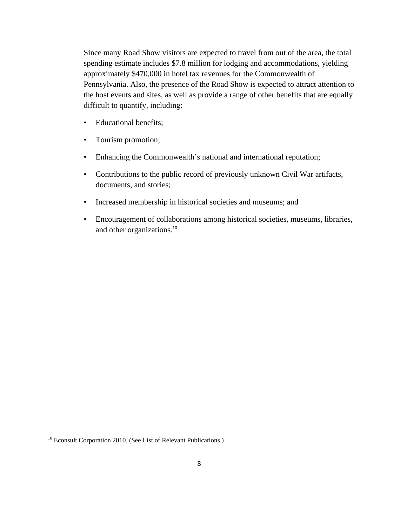Since many Road Show visitors are expected to travel from out of the area, the total spending estimate includes \$7.8 million for lodging and accommodations, yielding approximately \$470,000 in hotel tax revenues for the Commonwealth of Pennsylvania. Also, the presence of the Road Show is expected to attract attention to the host events and sites, as well as provide a range of other benefits that are equally difficult to quantify, including:

- Educational benefits;
- Tourism promotion;
- Enhancing the Commonwealth's national and international reputation;
- Contributions to the public record of previously unknown Civil War artifacts, documents, and stories;
- Increased membership in historical societies and museums; and
- Encouragement of collaborations among historical societies, museums, libraries, and other organizations.<sup>10</sup>

<sup>&</sup>lt;sup>10</sup> Econsult Corporation 2010. (See List of Relevant Publications.)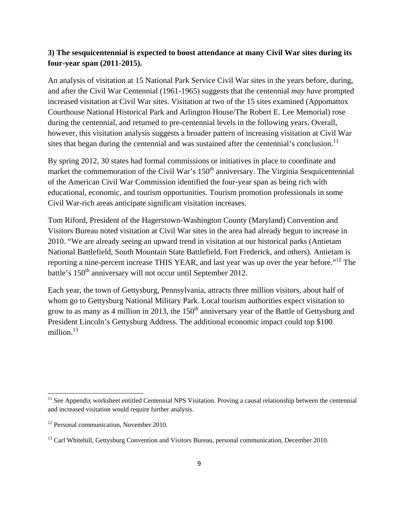#### **3) The sesquicentennial is expected to boost attendance at many Civil War sites during its four-year span (2011-2015).**

An analysis of visitation at 15 National Park Service Civil War sites in the years before, during, and after the Civil War Centennial (1961-1965) suggests that the centennial *may have* prompted increased visitation at Civil War sites. Visitation at two of the 15 sites examined (Appomattox Courthouse National Historical Park and Arlington House/The Robert E. Lee Memorial) rose during the centennial, and returned to pre-centennial levels in the following years. Overall, however, this visitation analysis suggests a broader pattern of increasing visitation at Civil War sites that began during the centennial and was sustained after the centennial's conclusion.<sup>11</sup>

By spring 2012, 30 states had formal commissions or initiatives in place to coordinate and market the commemoration of the Civil War's  $150<sup>th</sup>$  anniversary. The Virginia Sesquicentennial of the American Civil War Commission identified the four-year span as being rich with educational, economic, and tourism opportunities. Tourism promotion professionals in some Civil War-rich areas anticipate significant visitation increases.

Tom Riford, President of the Hagerstown-Washington County (Maryland) Convention and Visitors Bureau noted visitation at Civil War sites in the area had already begun to increase in 2010. "We are already seeing an upward trend in visitation at our historical parks (Antietam National Battlefield, South Mountain State Battlefield, Fort Frederick, and others). Antietam is reporting a nine-percent increase THIS YEAR, and last year was up over the year before.<sup>"12</sup> The battle's 150<sup>th</sup> anniversary will not occur until September 2012.

Each year, the town of Gettysburg, Pennsylvania, attracts three million visitors, about half of whom go to Gettysburg National Military Park. Local tourism authorities expect visitation to grow to as many as 4 million in 2013, the  $150<sup>th</sup>$  anniversary year of the Battle of Gettysburg and President Lincoln's Gettysburg Address. The additional economic impact could top \$100 million $13$ 

 $11$  See Appendix worksheet entitled Centennial NPS Visitation. Proving a causal relationship between the centennial and increased visitation would require further analysis.

<sup>&</sup>lt;sup>12</sup> Personal communication, November 2010.

<sup>&</sup>lt;sup>13</sup> Carl Whitehill, Gettysburg Convention and Visitors Bureau, personal communication, December 2010.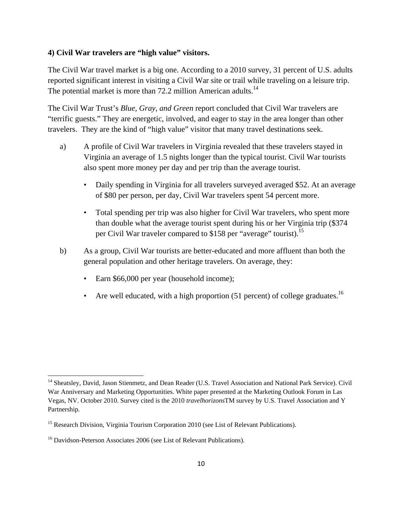#### **4) Civil War travelers are "high value" visitors.**

The Civil War travel market is a big one. According to a 2010 survey, 31 percent of U.S. adults reported significant interest in visiting a Civil War site or trail while traveling on a leisure trip. The potential market is more than  $72.2$  million American adults.<sup>14</sup>

The Civil War Trust's *Blue, Gray, and Green* report concluded that Civil War travelers are "terrific guests." They are energetic, involved, and eager to stay in the area longer than other travelers. They are the kind of "high value" visitor that many travel destinations seek.

- a) A profile of Civil War travelers in Virginia revealed that these travelers stayed in Virginia an average of 1.5 nights longer than the typical tourist. Civil War tourists also spent more money per day and per trip than the average tourist.
	- Daily spending in Virginia for all travelers surveyed averaged \$52. At an average of \$80 per person, per day, Civil War travelers spent 54 percent more.
	- Total spending per trip was also higher for Civil War travelers, who spent more than double what the average tourist spent during his or her Virginia trip (\$374 per Civil War traveler compared to \$158 per "average" tourist).15
- b) As a group, Civil War tourists are better-educated and more affluent than both the general population and other heritage travelers. On average, they:
	- Earn \$66,000 per year (household income);
	- Are well educated, with a high proportion  $(51$  percent) of college graduates.<sup>16</sup>

<sup>&</sup>lt;sup>14</sup> Sheatsley, David, Jason Stienmetz, and Dean Reader (U.S. Travel Association and National Park Service). Civil War Anniversary and Marketing Opportunities. White paper presented at the Marketing Outlook Forum in Las Vegas, NV. October 2010. Survey cited is the 2010 *travelhorizons*TM survey by U.S. Travel Association and Y Partnership.

<sup>&</sup>lt;sup>15</sup> Research Division, Virginia Tourism Corporation 2010 (see List of Relevant Publications).

<sup>&</sup>lt;sup>16</sup> Davidson-Peterson Associates 2006 (see List of Relevant Publications).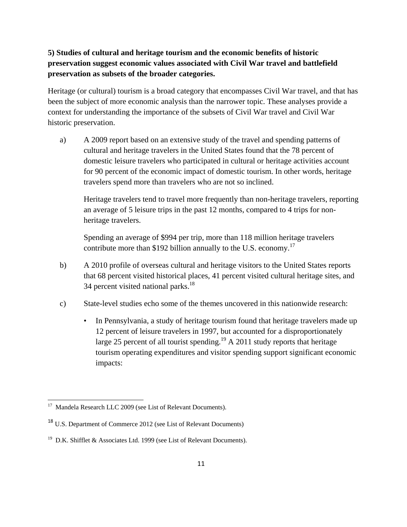### **5) Studies of cultural and heritage tourism and the economic benefits of historic preservation suggest economic values associated with Civil War travel and battlefield preservation as subsets of the broader categories.**

Heritage (or cultural) tourism is a broad category that encompasses Civil War travel, and that has been the subject of more economic analysis than the narrower topic. These analyses provide a context for understanding the importance of the subsets of Civil War travel and Civil War historic preservation.

a) A 2009 report based on an extensive study of the travel and spending patterns of cultural and heritage travelers in the United States found that the 78 percent of domestic leisure travelers who participated in cultural or heritage activities account for 90 percent of the economic impact of domestic tourism. In other words, heritage travelers spend more than travelers who are not so inclined.

Heritage travelers tend to travel more frequently than non-heritage travelers, reporting an average of 5 leisure trips in the past 12 months, compared to 4 trips for nonheritage travelers.

Spending an average of \$994 per trip, more than 118 million heritage travelers contribute more than \$192 billion annually to the U.S. economy.<sup>17</sup>

- b) A 2010 profile of overseas cultural and heritage visitors to the United States reports that 68 percent visited historical places, 41 percent visited cultural heritage sites, and 34 percent visited national parks.<sup>18</sup>
- c) State-level studies echo some of the themes uncovered in this nationwide research:
	- In Pennsylvania, a study of heritage tourism found that heritage travelers made up 12 percent of leisure travelers in 1997, but accounted for a disproportionately large 25 percent of all tourist spending.<sup>19</sup> A 2011 study reports that heritage tourism operating expenditures and visitor spending support significant economic impacts:

  $17$  Mandela Research LLC 2009 (see List of Relevant Documents).

<sup>18</sup> U.S. Department of Commerce 2012 (see List of Relevant Documents)

<sup>&</sup>lt;sup>19</sup> D.K. Shifflet & Associates Ltd. 1999 (see List of Relevant Documents).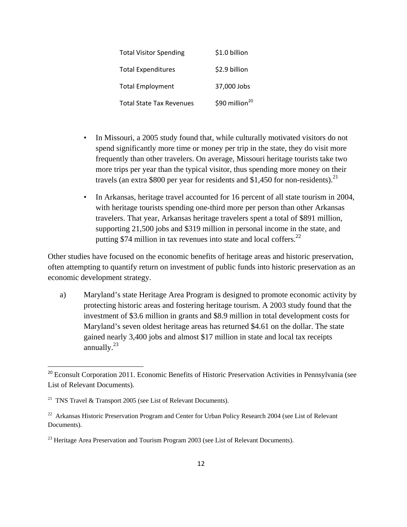| <b>Total Visitor Spending</b>   | \$1.0 billion              |
|---------------------------------|----------------------------|
| <b>Total Expenditures</b>       | \$2.9 billion              |
| <b>Total Employment</b>         | 37,000 Jobs                |
| <b>Total State Tax Revenues</b> | \$90 million <sup>20</sup> |

- In Missouri, a 2005 study found that, while culturally motivated visitors do not spend significantly more time or money per trip in the state, they do visit more frequently than other travelers. On average, Missouri heritage tourists take two more trips per year than the typical visitor, thus spending more money on their travels (an extra \$800 per year for residents and \$1,450 for non-residents).<sup>21</sup>
- In Arkansas, heritage travel accounted for 16 percent of all state tourism in 2004, with heritage tourists spending one-third more per person than other Arkansas travelers. That year, Arkansas heritage travelers spent a total of \$891 million, supporting 21,500 jobs and \$319 million in personal income in the state, and putting  $$74$  million in tax revenues into state and local coffers.<sup>22</sup>

Other studies have focused on the economic benefits of heritage areas and historic preservation, often attempting to quantify return on investment of public funds into historic preservation as an economic development strategy.

a) Maryland's state Heritage Area Program is designed to promote economic activity by protecting historic areas and fostering heritage tourism. A 2003 study found that the investment of \$3.6 million in grants and \$8.9 million in total development costs for Maryland's seven oldest heritage areas has returned \$4.61 on the dollar. The state gained nearly 3,400 jobs and almost \$17 million in state and local tax receipts annually. $^{23}$ 

<sup>&</sup>lt;sup>20</sup> Econsult Corporation 2011. Economic Benefits of Historic Preservation Activities in Pennsylvania (see List of Relevant Documents).

<sup>&</sup>lt;sup>21</sup> TNS Travel & Transport 2005 (see List of Relevant Documents).

<sup>&</sup>lt;sup>22</sup> Arkansas Historic Preservation Program and Center for Urban Policy Research 2004 (see List of Relevant Documents).

 $^{23}$  Heritage Area Preservation and Tourism Program 2003 (see List of Relevant Documents).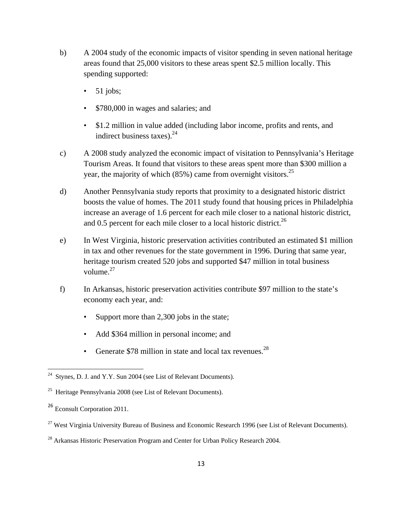- b) A 2004 study of the economic impacts of visitor spending in seven national heritage areas found that 25,000 visitors to these areas spent \$2.5 million locally. This spending supported:
	- $\bullet$  51 jobs;
	- \$780,000 in wages and salaries; and
	- \$1.2 million in value added (including labor income, profits and rents, and indirect business taxes). $^{24}$
- c) A 2008 study analyzed the economic impact of visitation to Pennsylvania's Heritage Tourism Areas. It found that visitors to these areas spent more than \$300 million a year, the majority of which (85%) came from overnight visitors.<sup>25</sup>
- d) Another Pennsylvania study reports that proximity to a designated historic district boosts the value of homes. The 2011 study found that housing prices in Philadelphia increase an average of 1.6 percent for each mile closer to a national historic district, and 0.5 percent for each mile closer to a local historic district.<sup>26</sup>
- e) In West Virginia, historic preservation activities contributed an estimated \$1 million in tax and other revenues for the state government in 1996. During that same year, heritage tourism created 520 jobs and supported \$47 million in total business volume. $27$
- f) In Arkansas, historic preservation activities contribute \$97 million to the state's economy each year, and:
	- Support more than 2,300 jobs in the state;
	- Add \$364 million in personal income; and
	- Generate  $$78$  million in state and local tax revenues.<sup>28</sup>

 $24$  Stynes, D. J. and Y.Y. Sun 2004 (see List of Relevant Documents).

<sup>25</sup> Heritage Pennsylvania 2008 (see List of Relevant Documents).

<sup>26</sup> Econsult Corporation 2011.

<sup>&</sup>lt;sup>27</sup> West Virginia University Bureau of Business and Economic Research 1996 (see List of Relevant Documents).

<sup>&</sup>lt;sup>28</sup> Arkansas Historic Preservation Program and Center for Urban Policy Research 2004.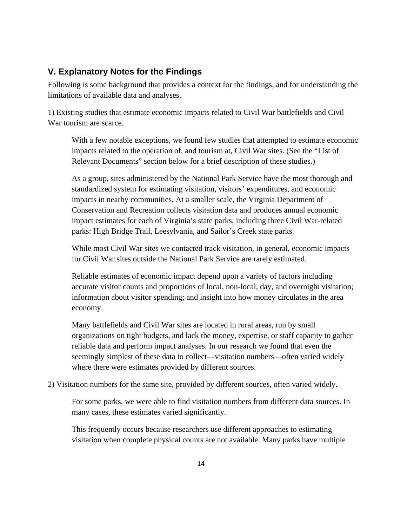#### **V. Explanatory Notes for the Findings**

Following is some background that provides a context for the findings, and for understanding the limitations of available data and analyses.

1) Existing studies that estimate economic impacts related to Civil War battlefields and Civil War tourism are scarce.

With a few notable exceptions, we found few studies that attempted to estimate economic impacts related to the operation of, and tourism at, Civil War sites. (See the "List of Relevant Documents" section below for a brief description of these studies.)

As a group, sites administered by the National Park Service have the most thorough and standardized system for estimating visitation, visitors' expenditures, and economic impacts in nearby communities. At a smaller scale, the Virginia Department of Conservation and Recreation collects visitation data and produces annual economic impact estimates for each of Virginia's state parks, including three Civil War-related parks: High Bridge Trail, Leesylvania, and Sailor's Creek state parks.

While most Civil War sites we contacted track visitation, in general, economic impacts for Civil War sites outside the National Park Service are rarely estimated.

Reliable estimates of economic impact depend upon a variety of factors including accurate visitor counts and proportions of local, non-local, day, and overnight visitation; information about visitor spending; and insight into how money circulates in the area economy.

Many battlefields and Civil War sites are located in rural areas, run by small organizations on tight budgets, and lack the money, expertise, or staff capacity to gather reliable data and perform impact analyses. In our research we found that even the seemingly simplest of these data to collect—visitation numbers—often varied widely where there were estimates provided by different sources.

2) Visitation numbers for the same site, provided by different sources, often varied widely.

For some parks, we were able to find visitation numbers from different data sources. In many cases, these estimates varied significantly.

This frequently occurs because researchers use different approaches to estimating visitation when complete physical counts are not available. Many parks have multiple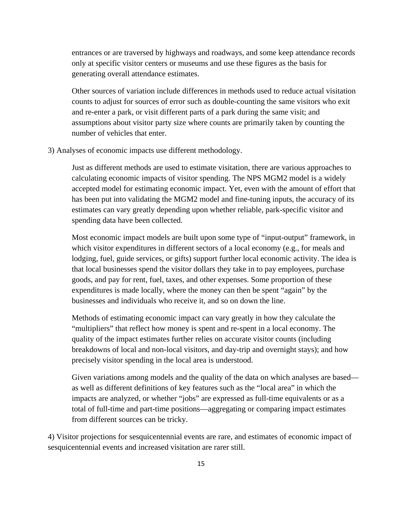entrances or are traversed by highways and roadways, and some keep attendance records only at specific visitor centers or museums and use these figures as the basis for generating overall attendance estimates.

Other sources of variation include differences in methods used to reduce actual visitation counts to adjust for sources of error such as double-counting the same visitors who exit and re-enter a park, or visit different parts of a park during the same visit; and assumptions about visitor party size where counts are primarily taken by counting the number of vehicles that enter.

3) Analyses of economic impacts use different methodology.

Just as different methods are used to estimate visitation, there are various approaches to calculating economic impacts of visitor spending. The NPS MGM2 model is a widely accepted model for estimating economic impact. Yet, even with the amount of effort that has been put into validating the MGM2 model and fine-tuning inputs, the accuracy of its estimates can vary greatly depending upon whether reliable, park-specific visitor and spending data have been collected.

Most economic impact models are built upon some type of "input-output" framework, in which visitor expenditures in different sectors of a local economy (e.g., for meals and lodging, fuel, guide services, or gifts) support further local economic activity. The idea is that local businesses spend the visitor dollars they take in to pay employees, purchase goods, and pay for rent, fuel, taxes, and other expenses. Some proportion of these expenditures is made locally, where the money can then be spent "again" by the businesses and individuals who receive it, and so on down the line.

Methods of estimating economic impact can vary greatly in how they calculate the "multipliers" that reflect how money is spent and re-spent in a local economy. The quality of the impact estimates further relies on accurate visitor counts (including breakdowns of local and non-local visitors, and day-trip and overnight stays); and how precisely visitor spending in the local area is understood.

Given variations among models and the quality of the data on which analyses are based as well as different definitions of key features such as the "local area" in which the impacts are analyzed, or whether "jobs" are expressed as full-time equivalents or as a total of full-time and part-time positions—aggregating or comparing impact estimates from different sources can be tricky.

4) Visitor projections for sesquicentennial events are rare, and estimates of economic impact of sesquicentennial events and increased visitation are rarer still.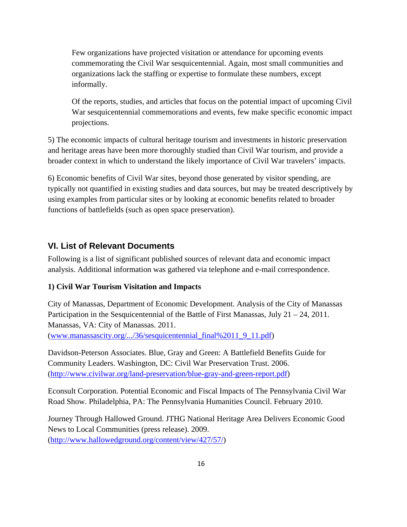Few organizations have projected visitation or attendance for upcoming events commemorating the Civil War sesquicentennial. Again, most small communities and organizations lack the staffing or expertise to formulate these numbers, except informally.

Of the reports, studies, and articles that focus on the potential impact of upcoming Civil War sesquicentennial commemorations and events, few make specific economic impact projections.

5) The economic impacts of cultural heritage tourism and investments in historic preservation and heritage areas have been more thoroughly studied than Civil War tourism, and provide a broader context in which to understand the likely importance of Civil War travelers' impacts.

6) Economic benefits of Civil War sites, beyond those generated by visitor spending, are typically not quantified in existing studies and data sources, but may be treated descriptively by using examples from particular sites or by looking at economic benefits related to broader functions of battlefields (such as open space preservation).

### **VI. List of Relevant Documents**

Following is a list of significant published sources of relevant data and economic impact analysis. Additional information was gathered via telephone and e-mail correspondence.

#### **1) Civil War Tourism Visitation and Impacts**

City of Manassas, Department of Economic Development. Analysis of the City of Manassas Participation in the Sesquicentennial of the Battle of First Manassas, July 21 – 24, 2011. Manassas, VA: City of Manassas. 2011. (www.manassascity.org/.../36/sesquicentennial\_final%2011\_9\_11.pdf)

Davidson-Peterson Associates. Blue, Gray and Green: A Battlefield Benefits Guide for Community Leaders. Washington, DC: Civil War Preservation Trust. 2006. (http://www.civilwar.org/land-preservation/blue-gray-and-green-report.pdf)

Econsult Corporation. Potential Economic and Fiscal Impacts of The Pennsylvania Civil War Road Show. Philadelphia, PA: The Pennsylvania Humanities Council. February 2010.

Journey Through Hallowed Ground. JTHG National Heritage Area Delivers Economic Good News to Local Communities (press release). 2009. (http://www.hallowedground.org/content/view/427/57/)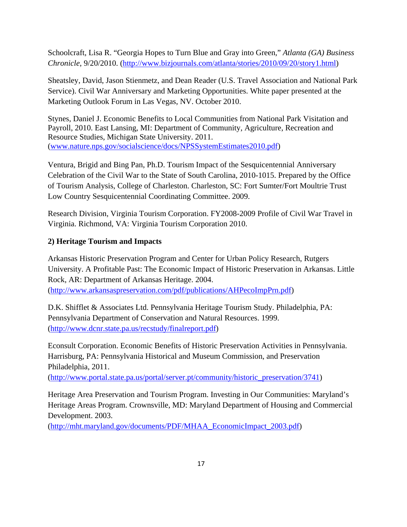Schoolcraft, Lisa R. "Georgia Hopes to Turn Blue and Gray into Green," *Atlanta (GA) Business Chronicle*, 9/20/2010. (http://www.bizjournals.com/atlanta/stories/2010/09/20/story1.html)

Sheatsley, David, Jason Stienmetz, and Dean Reader (U.S. Travel Association and National Park Service). Civil War Anniversary and Marketing Opportunities. White paper presented at the Marketing Outlook Forum in Las Vegas, NV. October 2010.

Stynes, Daniel J. Economic Benefits to Local Communities from National Park Visitation and Payroll, 2010. East Lansing, MI: Department of Community, Agriculture, Recreation and Resource Studies, Michigan State University. 2011. (www.nature.nps.gov/socialscience/docs/NPSSystemEstimates2010.pdf)

Ventura, Brigid and Bing Pan, Ph.D. Tourism Impact of the Sesquicentennial Anniversary Celebration of the Civil War to the State of South Carolina, 2010-1015. Prepared by the Office of Tourism Analysis, College of Charleston. Charleston, SC: Fort Sumter/Fort Moultrie Trust Low Country Sesquicentennial Coordinating Committee. 2009.

Research Division, Virginia Tourism Corporation. FY2008-2009 Profile of Civil War Travel in Virginia. Richmond, VA: Virginia Tourism Corporation 2010.

#### **2) Heritage Tourism and Impacts**

Arkansas Historic Preservation Program and Center for Urban Policy Research, Rutgers University. A Profitable Past: The Economic Impact of Historic Preservation in Arkansas. Little Rock, AR: Department of Arkansas Heritage. 2004. (http://www.arkansaspreservation.com/pdf/publications/AHPecoImpPrn.pdf)

D.K. Shifflet & Associates Ltd. Pennsylvania Heritage Tourism Study. Philadelphia, PA: Pennsylvania Department of Conservation and Natural Resources. 1999. (http://www.dcnr.state.pa.us/recstudy/finalreport.pdf)

Econsult Corporation. Economic Benefits of Historic Preservation Activities in Pennsylvania. Harrisburg, PA: Pennsylvania Historical and Museum Commission, and Preservation Philadelphia, 2011.

(http://www.portal.state.pa.us/portal/server.pt/community/historic\_preservation/3741)

Heritage Area Preservation and Tourism Program. Investing in Our Communities: Maryland's Heritage Areas Program. Crownsville, MD: Maryland Department of Housing and Commercial Development. 2003.

(http://mht.maryland.gov/documents/PDF/MHAA\_EconomicImpact\_2003.pdf)